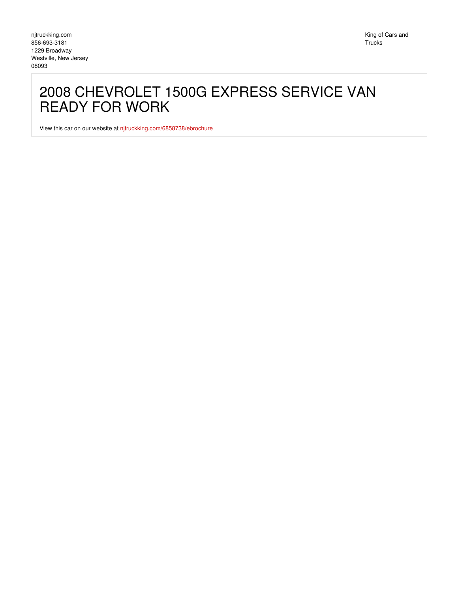## 2008 CHEVROLET 1500G EXPRESS SERVICE VAN READY FOR WORK

View this car on our website at [njtruckking.com/6858738/ebrochure](https://njtruckking.com/vehicle/6858738/2008-chevrolet-1500g-express-service-van-ready-for-work-westville-new-jersey-08093/6858738/ebrochure)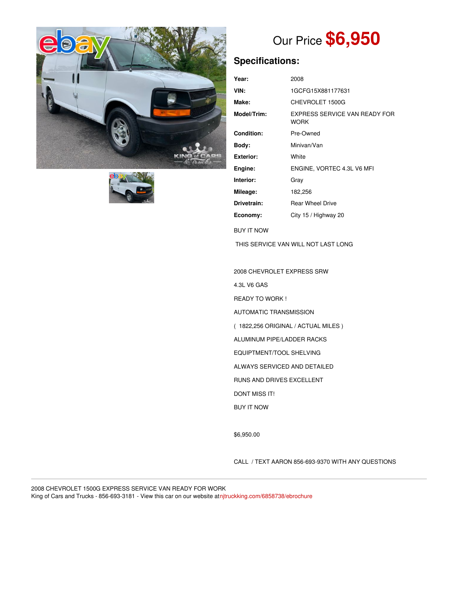



# Our Price **\$6,950**

## **Specifications:**

| Year:                               | 2008                                                |
|-------------------------------------|-----------------------------------------------------|
| VIN:                                | 1GCFG15X881177631                                   |
| Make:                               | CHEVROLET 1500G                                     |
| Model/Trim:                         | <b>EXPRESS SERVICE VAN READY FOR</b><br><b>WORK</b> |
| Condition:                          | Pre-Owned                                           |
| Body:                               | Minivan/Van                                         |
| <b>Exterior:</b>                    | White                                               |
| Engine:                             | ENGINE, VORTEC 4.3L V6 MFI                          |
| Interior:                           | Gray                                                |
| Mileage:                            | 182,256                                             |
| Drivetrain:                         | <b>Rear Wheel Drive</b>                             |
| Economy:                            | City 15 / Highway 20                                |
| <b>BUY IT NOW</b>                   |                                                     |
| THIS SERVICE VAN WILL NOT LAST LONG |                                                     |

2008 CHEVROLET EXPRESS SRW

4.3L V6 GAS

READY TO WORK !

- AUTOMATIC TRANSMISSION
- ( 1822,256 ORIGINAL / ACTUAL MILES )
- ALUMINUM PIPE/LADDER RACKS
- EQUIPTMENT/TOOL SHELVING
- ALWAYS SERVICED AND DETAILED
- RUNS AND DRIVES EXCELLENT
- DONT MISS IT!
- BUY IT NOW

\$6,950.00

CALL / TEXT AARON 856-693-9370 WITH ANY QUESTIONS

2008 CHEVROLET 1500G EXPRESS SERVICE VAN READY FOR WORK King of Cars and Trucks - 856-693-3181 - View this car on our website at[njtruckking.com/6858738/ebrochure](https://njtruckking.com/vehicle/6858738/2008-chevrolet-1500g-express-service-van-ready-for-work-westville-new-jersey-08093/6858738/ebrochure)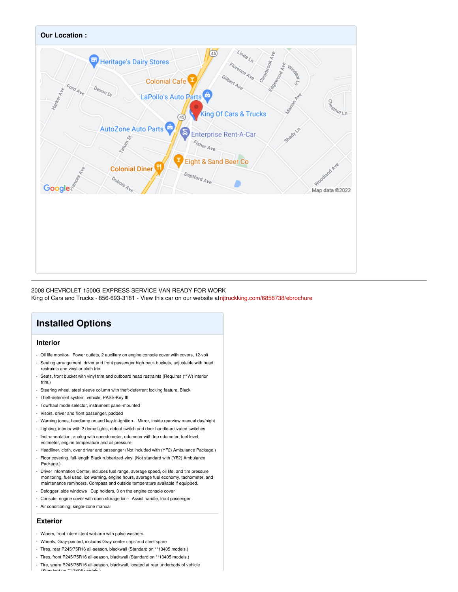

### 2008 CHEVROLET 1500G EXPRESS SERVICE VAN READY FOR WORK

King of Cars and Trucks - 856-693-3181 - View this car on our website at[njtruckking.com/6858738/ebrochure](https://njtruckking.com/vehicle/6858738/2008-chevrolet-1500g-express-service-van-ready-for-work-westville-new-jersey-08093/6858738/ebrochure)

## **Installed Options**

#### **Interior**

- Oil life monitor- Power outlets, 2 auxiliary on engine console cover with covers, 12-volt - Seating arrangement, driver and front passenger high-back buckets, adjustable with head
- restraints and vinyl or cloth trim
- Seats, front bucket with vinyl trim and outboard head restraints (Requires (\*\*W) interior trim.)
- Steering wheel, steel sleeve column with theft-deterrent locking feature, Black
- Theft-deterrent system, vehicle, PASS-Key III
- Tow/haul mode selector, instrument panel-mounted
- Visors, driver and front passenger, padded
- Warning tones, headlamp on and key-in-ignition- Mirror, inside rearview manual day/night
- Lighting, interior with 2 dome lights, defeat switch and door handle-activated switches - Instrumentation, analog with speedometer, odometer with trip odometer, fuel level, voltmeter, engine temperature and oil pressure
- Headliner, cloth, over driver and passenger (Not included with (YF2) Ambulance Package.)
- Floor covering, full-length Black rubberized-vinyl (Not standard with (YF2) Ambulance Package.)
- Driver Information Center, includes fuel range, average speed, oil life, and tire pressure monitoring, fuel used, ice warning, engine hours, average fuel economy, tachometer, and maintenance reminders. Compass and outside temperature available if equipped.
- Defogger, side windows- Cup holders, 3 on the engine console cover
- Console, engine cover with open storage bin Assist handle, front passenger
- Air conditioning, single-zone manual

#### **Exterior**

- Wipers, front intermittent wet-arm with pulse washers
- Wheels, Gray-painted, includes Gray center caps and steel spare
- Tires, rear P245/75R16 all-season, blackwall (Standard on \*\*13405 models.)
- Tires, front P245/75R16 all-season, blackwall (Standard on \*\*13405 models.)
- Tire, spare P245/75R16 all-season, blackwall, located at rear underbody of vehicle (Standard on \*\*13405 models.)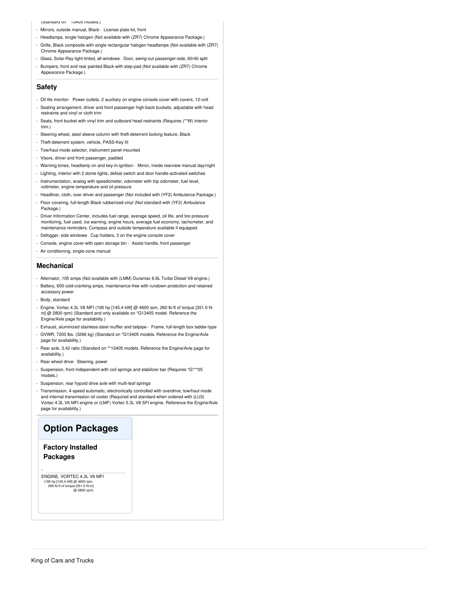#### (Standard on \*\*13405 models.)

- Mirrors, outside manual, Black- License plate kit, front
- Headlamps, single halogen (Not available with (ZR7) Chrome Appearance Package.)
- Grille, Black composite with single rectangular halogen headlamps (Not available with (ZR7) Chrome Appearance Package.)
- Glass, Solar-Ray light-tinted, all windows- Door, swing-out passenger-side, 60/40 split - Bumpers, front and rear painted Black with step-pad (Not available with (ZR7) Chrome Appearance Package.)

#### **Safety**

- Oil life monitor- Power outlets, 2 auxiliary on engine console cover with covers, 12-volt
- Seating arrangement, driver and front passenger high-back buckets, adjustable with head restraints and vinyl or cloth trim
- Seats, front bucket with vinyl trim and outboard head restraints (Requires (\*\*W) interior trim.)
- Steering wheel, steel sleeve column with theft-deterrent locking feature, Black
- Theft-deterrent system, vehicle, PASS-Key III
- Tow/haul mode selector, instrument panel-mounted
- Visors, driver and front passenger, padded
- Warning tones, headlamp on and key-in-ignition- Mirror, inside rearview manual day/night
- Lighting, interior with 2 dome lights, defeat switch and door handle-activated switches
- Instrumentation, analog with speedometer, odometer with trip odometer, fuel level, voltmeter, engine temperature and oil pressure
- Headliner, cloth, over driver and passenger (Not included with (YF2) Ambulance Package.)
- Floor covering, full-length Black rubberized-vinyl (Not standard with (YF2) Ambulance Package.)
- Driver Information Center, includes fuel range, average speed, oil life, and tire pressure monitoring, fuel used, ice warning, engine hours, average fuel economy, tachometer, and maintenance reminders. Compass and outside temperature available if equipped.
- Defogger, side windows- Cup holders, 3 on the engine console cover
- Console, engine cover with open storage bin Assist handle, front passenger
- Air conditioning, single-zone manual

#### **Mechanical**

- Alternator, 105 amps (Not available with (LMM) Duramax 6.6L Turbo Diesel V8 engine.)
- Battery, 600 cold-cranking amps, maintenance-free with rundown protection and retained accessory power
- Body, standard
- Engine, Vortec 4.3L V6 MFI (195 hp [145.4 kW] @ 4600 rpm, 260 lb-ft of torque [351.0 Nm] @ 2800 rpm) (Standard and only available on \*G13405 model. Reference the Engine/Axle page for availability.)
- Exhaust, aluminized stainless-steel muffler and tailpipe- Frame, full-length box ladder-type
- GVWR, 7200 lbs. (3266 kg) (Standard on \*G13405 models. Reference the Engine/Axle page for availability.)
- Rear axle, 3.42 ratio (Standard on \*\*13405 models. Reference the Engine/Axle page for availability.)
- Rear wheel drive- Steering, power
- Suspension, front independent with coil springs and stabilizer bar (Requires \*G\*\*\*05 models.)
- Suspension, rear hypoid drive axle with multi-leaf springs
- Transmission, 4-speed automatic, electronically controlled with overdrive, tow/haul mode and internal transmission oil cooler (Required and standard when ordered with (LU3) Vortec 4.3L V6 MFI engine or (LMF) Vortec 5.3L V8 SFI engine. Reference the Engine/Axle page for availability.)

## **Option Packages**

#### **Factory Installed Packages**

-

ENGINE, VORTEC 4.3L V6 MFI (195 hp [145.4 kW] @ 4600 rpm, 260 lb-ft of torque [351.0 N-m] @ 2800 rpm